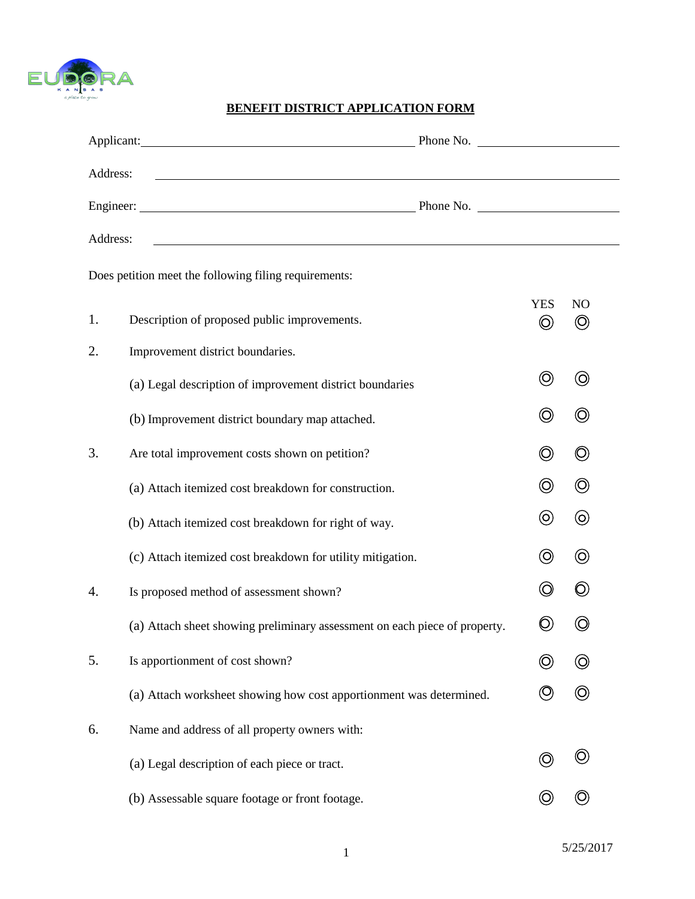

### **BENEFIT DISTRICT APPLICATION FORM FORM**

|          | Applicant: Phone No. 2006. Applicant:                                                                                   |  |                              |                                  |
|----------|-------------------------------------------------------------------------------------------------------------------------|--|------------------------------|----------------------------------|
| Address: | <u> 1989 - Johann Stoff, amerikansk politiker (d. 1989)</u>                                                             |  |                              |                                  |
|          |                                                                                                                         |  |                              |                                  |
| Address: | <u> The Communication of the Communication of the Communication of the Communication of the Communication of the Co</u> |  |                              |                                  |
|          | Does petition meet the following filing requirements:                                                                   |  |                              |                                  |
| 1.       | Description of proposed public improvements.                                                                            |  | <b>YES</b><br>$\circledcirc$ | N <sub>O</sub><br>$\circledcirc$ |
| 2.       | Improvement district boundaries.                                                                                        |  |                              |                                  |
|          | (a) Legal description of improvement district boundaries                                                                |  | $\circledcirc$               | $\odot$                          |
|          | (b) Improvement district boundary map attached.                                                                         |  | $\circledcirc$               | $\circledcirc$                   |
| 3.       | Are total improvement costs shown on petition?                                                                          |  | $\circledcirc$               | $\circledcirc$                   |
|          | (a) Attach itemized cost breakdown for construction.                                                                    |  | $\circledcirc$               | $\circledcirc$                   |
|          | (b) Attach itemized cost breakdown for right of way.                                                                    |  | $\circledcirc$               | $\circledcirc$                   |
|          | (c) Attach itemized cost breakdown for utility mitigation.                                                              |  | $\circledcirc$               | $\circledcirc$                   |
| 4.       | Is proposed method of assessment shown?                                                                                 |  | $\circledcirc$               | $\circledcirc$                   |
|          | (a) Attach sheet showing preliminary assessment on each piece of property.                                              |  | $\bigcirc$                   | O)                               |
| 5.       | Is apportionment of cost shown?                                                                                         |  |                              |                                  |
|          | (a) Attach worksheet showing how cost apportionment was determined.                                                     |  |                              | O)                               |
| 6.       | Name and address of all property owners with:                                                                           |  |                              |                                  |
|          | (a) Legal description of each piece or tract.                                                                           |  |                              |                                  |
|          | (b) Assessable square footage or front footage.                                                                         |  |                              |                                  |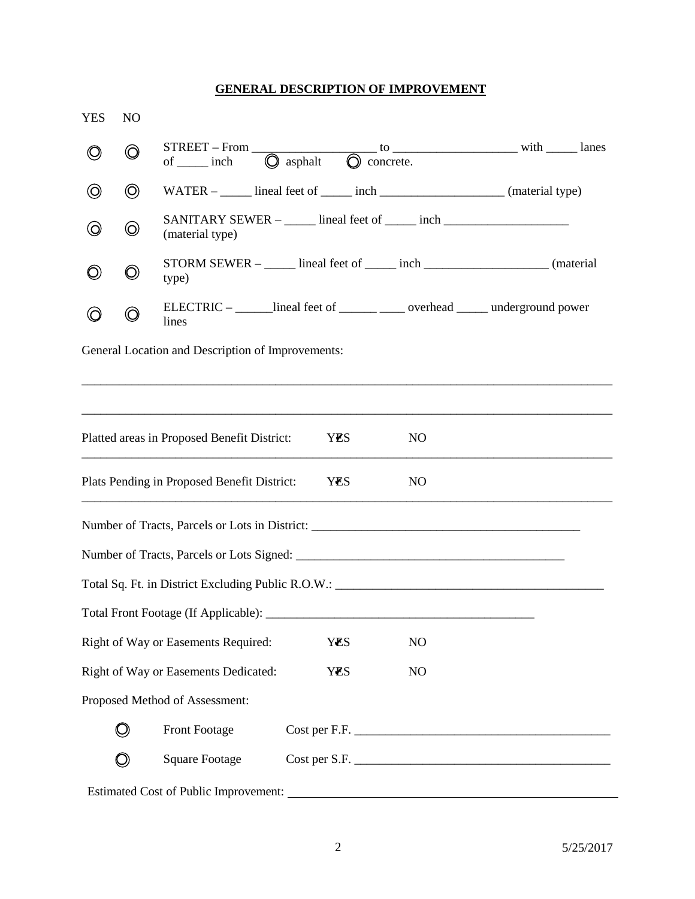# **GENERAL DESCRIPTION OF IMPROVEMENT**

| <b>YES</b>                                                           | N <sub>O</sub> |                                                                                                     |      |  |                 |  |  |
|----------------------------------------------------------------------|----------------|-----------------------------------------------------------------------------------------------------|------|--|-----------------|--|--|
| $\circledcirc$                                                       | $\circledcirc$ | $STREET - From$<br>of ______ inch $\bigcirc$ asphalt $\bigcirc$ concrete.                           |      |  |                 |  |  |
| $\circledcirc$                                                       | $\circledcirc$ | WATER – _____ lineal feet of _____ inch _______________________ (material type)                     |      |  |                 |  |  |
| $\circledcirc$                                                       | $\circledcirc$ | SANITARY SEWER – _____ lineal feet of _____ inch _______________________________<br>(material type) |      |  |                 |  |  |
| O)                                                                   | $\bigcirc$     | STORM SEWER – _____ lineal feet of _____ inch _____________________ (material<br>type)              |      |  |                 |  |  |
| O                                                                    | $\circledcirc$ | ELECTRIC – ______ lineal feet of _______ ____ overhead _____ underground power<br>lines             |      |  |                 |  |  |
|                                                                      |                | General Location and Description of Improvements:                                                   |      |  |                 |  |  |
|                                                                      |                |                                                                                                     |      |  |                 |  |  |
|                                                                      |                | Platted areas in Proposed Benefit District:                                                         | YES. |  | NO <sub>1</sub> |  |  |
|                                                                      |                | Plats Pending in Proposed Benefit District:                                                         | YES  |  | N <sub>O</sub>  |  |  |
|                                                                      |                |                                                                                                     |      |  |                 |  |  |
|                                                                      |                |                                                                                                     |      |  |                 |  |  |
|                                                                      |                |                                                                                                     |      |  |                 |  |  |
|                                                                      |                |                                                                                                     |      |  |                 |  |  |
| Right of Way or Easements Required:<br><b>YES</b><br>N <sub>O</sub>  |                |                                                                                                     |      |  |                 |  |  |
| Right of Way or Easements Dedicated:<br><b>YES</b><br>N <sub>O</sub> |                |                                                                                                     |      |  |                 |  |  |
| Proposed Method of Assessment:                                       |                |                                                                                                     |      |  |                 |  |  |
|                                                                      | $\bigcirc$     | Front Footage                                                                                       |      |  |                 |  |  |
|                                                                      | O,             | <b>Square Footage</b>                                                                               |      |  |                 |  |  |
|                                                                      |                |                                                                                                     |      |  |                 |  |  |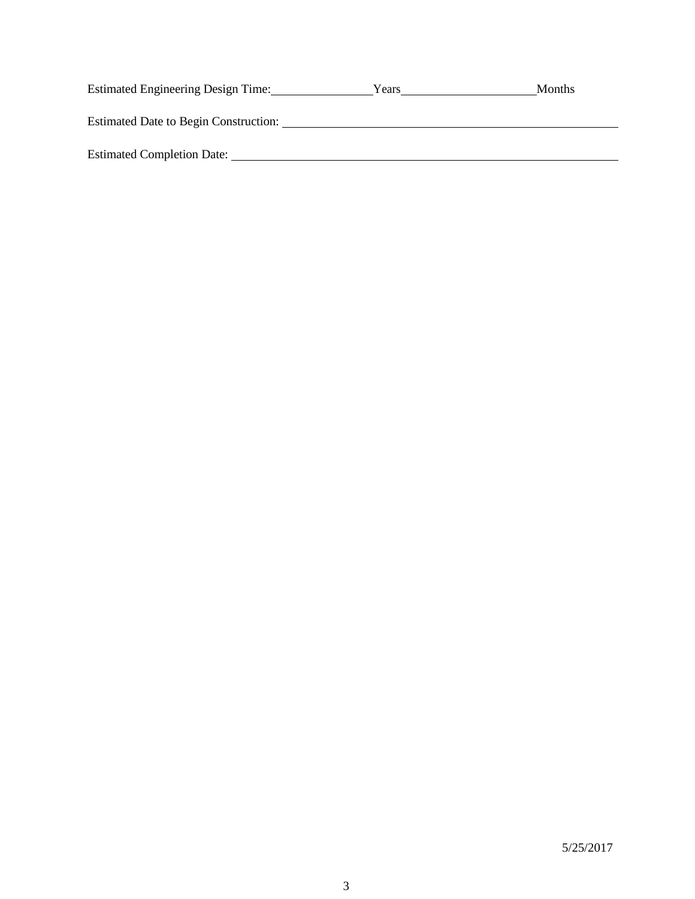| Estimated Engineering Design Time:           | Years | <b>Months</b> |
|----------------------------------------------|-------|---------------|
| <b>Estimated Date to Begin Construction:</b> |       |               |
| <b>Estimated Completion Date:</b>            |       |               |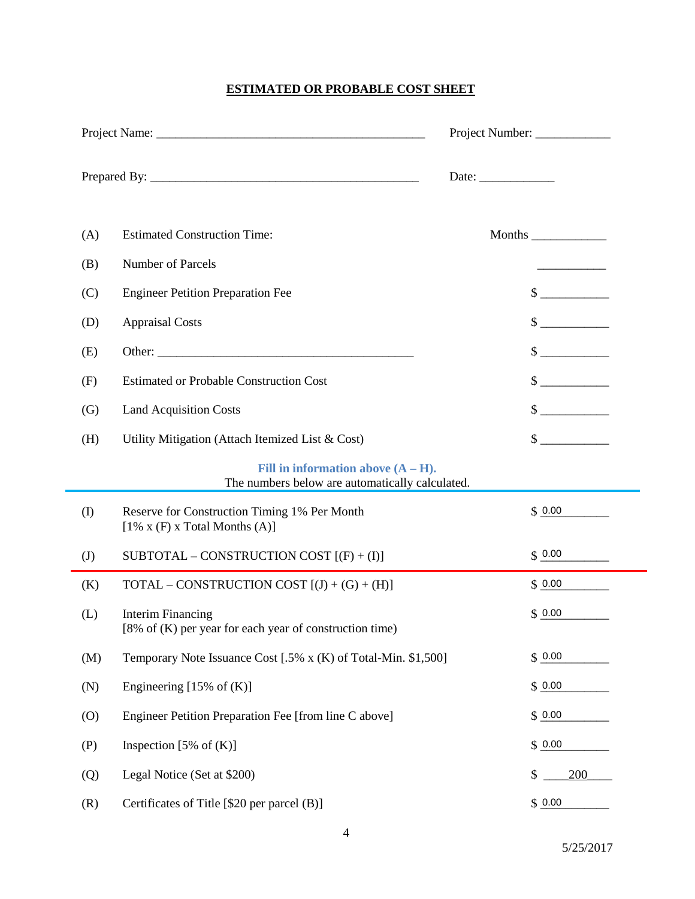# **ESTIMATED OR PROBABLE COST SHEET**

|     |                                                                                              | Date: $\frac{1}{\sqrt{1-\frac{1}{2}}\cdot\frac{1}{2}}$ |                             |  |
|-----|----------------------------------------------------------------------------------------------|--------------------------------------------------------|-----------------------------|--|
| (A) | <b>Estimated Construction Time:</b>                                                          |                                                        |                             |  |
| (B) | Number of Parcels                                                                            |                                                        |                             |  |
| (C) | <b>Engineer Petition Preparation Fee</b>                                                     |                                                        | $\frac{\text{S}}{\text{S}}$ |  |
| (D) | <b>Appraisal Costs</b>                                                                       |                                                        | $\frac{\text{S}}{\text{S}}$ |  |
| (E) |                                                                                              |                                                        | $\frac{\text{S}}{\text{S}}$ |  |
| (F) | <b>Estimated or Probable Construction Cost</b>                                               |                                                        | $\frac{\text{S}}{\text{S}}$ |  |
| (G) | <b>Land Acquisition Costs</b>                                                                |                                                        | $\frac{\text{S}}{\text{S}}$ |  |
| (H) | Utility Mitigation (Attach Itemized List & Cost)                                             |                                                        | $\frac{1}{2}$               |  |
|     | Fill in information above $(A - H)$ .<br>The numbers below are automatically calculated.     |                                                        |                             |  |
| (I) | Reserve for Construction Timing 1% Per Month<br>$[1\% \times (F) \times Total$ Months $(A)]$ |                                                        | \$0.00                      |  |
| (J) | SUBTOTAL – CONSTRUCTION COST $[(F) + (I)]$                                                   |                                                        | \$0.00                      |  |
| (K) | TOTAL – CONSTRUCTION COST $[(J) + (G) + (H)]$                                                |                                                        | \$0.00                      |  |
| (L) | <b>Interim Financing</b><br>[8% of (K) per year for each year of construction time)          |                                                        | \$0.00                      |  |
| (M) | Temporary Note Issuance Cost [.5% x (K) of Total-Min. \$1,500]                               |                                                        | \$0.00                      |  |
| (N) | Engineering $[15\% \text{ of } (K)]$                                                         |                                                        | \$0.00                      |  |
| (0) | Engineer Petition Preparation Fee [from line C above]                                        |                                                        | \$0.00                      |  |
| (P) | Inspection $[5\% \text{ of } (K)]$                                                           |                                                        | \$0.00                      |  |
| (Q) | Legal Notice (Set at \$200)                                                                  | \$                                                     | 200                         |  |
| (R) | Certificates of Title [\$20 per parcel (B)]                                                  |                                                        | \$0.00                      |  |

÷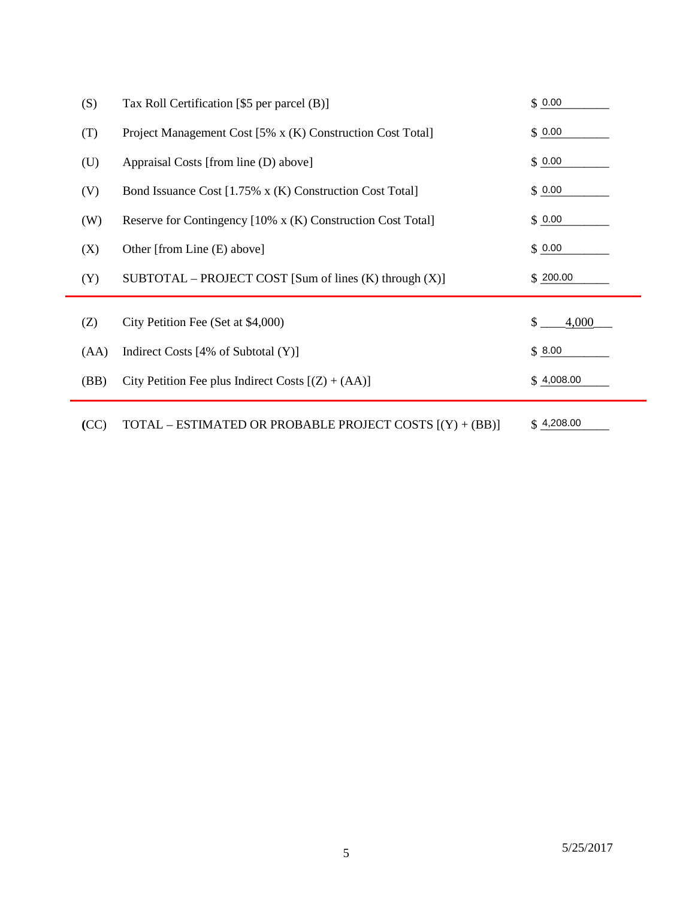| (S)  | Tax Roll Certification [\$5 per parcel (B)]                 | \$0.00      |
|------|-------------------------------------------------------------|-------------|
| (T)  | Project Management Cost [5% x (K) Construction Cost Total]  | \$0.00      |
| (U)  | Appraisal Costs [from line (D) above]                       | \$0.00      |
| (V)  | Bond Issuance Cost [1.75% x (K) Construction Cost Total]    | \$0.00      |
| (W)  | Reserve for Contingency [10% x (K) Construction Cost Total] | \$0.00      |
| (X)  | Other [from Line (E) above]                                 | \$0.00      |
| (Y)  | $SUBTOTAL - PROJECT COST [Sum of lines (K) through (X)]$    | \$200.00    |
|      |                                                             | \$<br>4,000 |
| (Z)  | City Petition Fee (Set at \$4,000)                          |             |
| (AA) | Indirect Costs $[4%$ of Subtotal $(Y)]$                     | \$8.00      |
| (BB) | City Petition Fee plus Indirect Costs $[(Z) + (AA)]$        | \$4,008.00  |
| (CC) | TOTAL – ESTIMATED OR PROBABLE PROJECT COSTS [(Y) + (BB)]    | \$4,208.00  |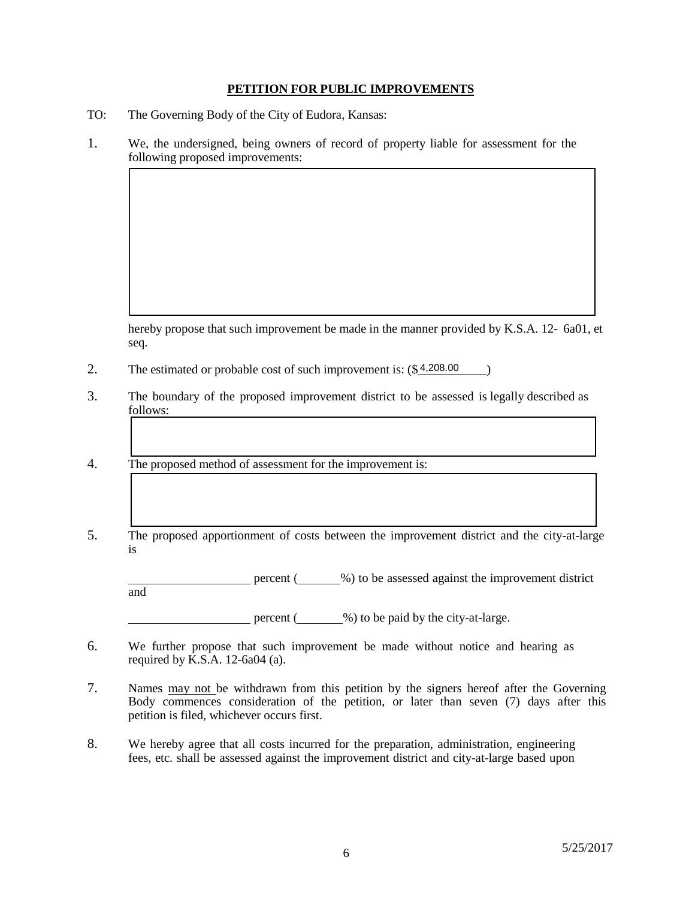#### **PETITION FOR PUBLIC IMPROVEMENTS**

- TO: The Governing Body of the City of Eudora, Kansas:
- 1. We, the undersigned, being owners of record of property liable for assessment for the following proposed improvements:

hereby propose that such improvement be made in the manner provided by K.S.A. 12- 6a01, et seq.

- 2. The estimated or probable cost of such improvement is:  $(\$4,208.00)$
- 3. The boundary of the proposed improvement district to be assessed is legally described as follows:
- 4. The proposed method of assessment for the improvement is:
- 5. The proposed apportionment of costs between the improvement district and the city-at-large is

percent (
with %) to be assessed against the improvement district and

percent  $($  %) to be paid by the city-at-large.

- 6. We further propose that such improvement be made without notice and hearing as required by  $\overline{K.S.A.}$  12-6a04 (a).
- 7. Names may not be withdrawn from this petition by the signers hereof after the Governing Body commences consideration of the petition, or later than seven (7) days after this petition is filed, whichever occurs first.
- 8. We hereby agree that all costs incurred for the preparation, administration, engineering fees, etc. shall be assessed against the improvement district and city-at-large based upon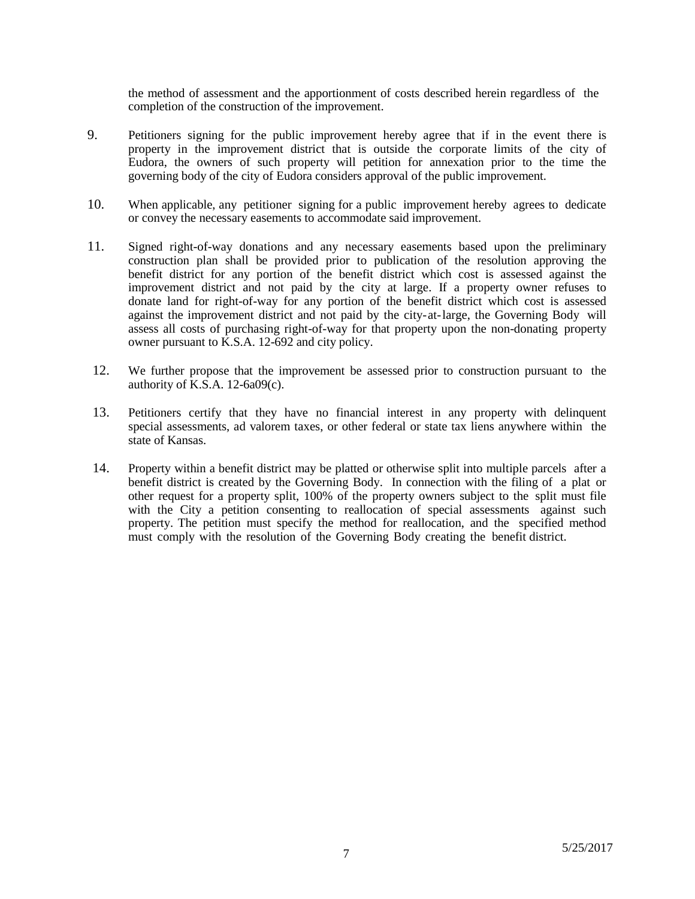the method of assessment and the apportionment of costs described herein regardless of the completion of the construction of the improvement.

- 9. Petitioners signing for the public improvement hereby agree that if in the event there is property in the improvement district that is outside the corporate limits of the city of Eudora, the owners of such property will petition for annexation prior to the time the governing body of the city of Eudora considers approval of the public improvement.
- 10. When applicable, any petitioner signing for a public improvement hereby agrees to dedicate or convey the necessary easements to accommodate said improvement.
- 11. Signed right-of-way donations and any necessary easements based upon the preliminary construction plan shall be provided prior to publication of the resolution approving the benefit district for any portion of the benefit district which cost is assessed against the improvement district and not paid by the city at large. If a property owner refuses to donate land for right-of-way for any portion of the benefit district which cost is assessed against the improvement district and not paid by the city-at-large, the Governing Body will assess all costs of purchasing right-of-way for that property upon the non-donating property owner pursuant to K.S.A. 12-692 and city policy.
- 12. We further propose that the improvement be assessed prior to construction pursuant to the authority of  $K.S.A.$  12-6a09(c).
- 13. Petitioners certify that they have no financial interest in any property with delinquent special assessments, ad valorem taxes, or other federal or state tax liens anywhere within the state of Kansas.
- 14. Property within a benefit district may be platted or otherwise split into multiple parcels after a benefit district is created by the Governing Body. In connection with the filing of a plat or other request for a property split, 100% of the property owners subject to the split must file with the City a petition consenting to reallocation of special assessments against such property. The petition must specify the method for reallocation, and the specified method must comply with the resolution of the Governing Body creating the benefit district.